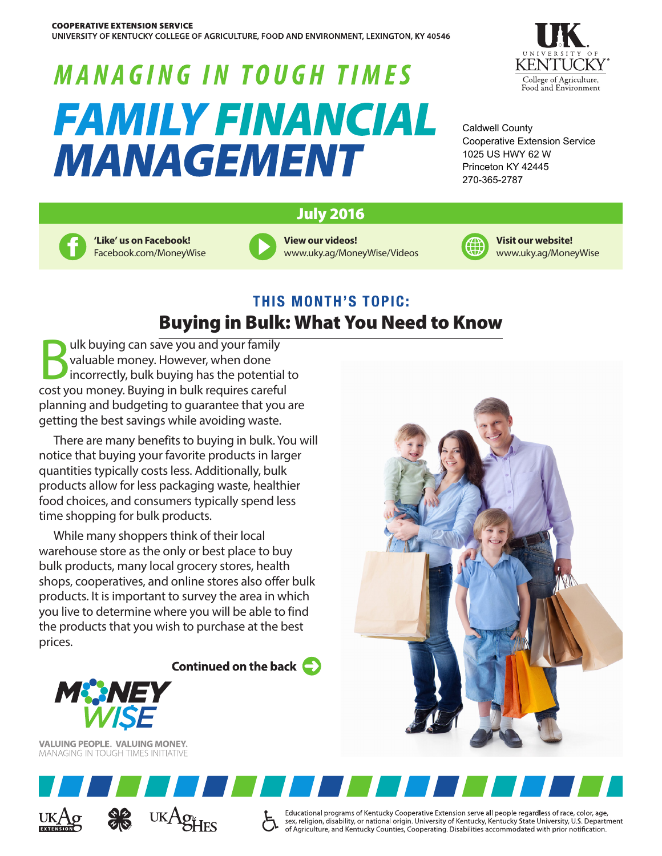UNIVERSITY OF KENTUCKY COLLEGE OF AGRICULTURE, FOOD AND ENVIRONMENT, LEXINGTON, KY 40546

# **MANAGING IN TOUGH TIMES** *FAMILY FINANCIAL* **MANAGEMENT**



Caldwell County Cooperative Extension Service 1025 US HWY 62 W Princeton KY 42445 270-365-2787

### July 2016



**'Like' us on Facebook!** Facebook.com/MoneyWise





**Visit our website!** www.uky.ag/MoneyWise

# **THIS MONTH'S TOPIC:** Buying in Bulk: What You Need to Know

Bulk buying can save you and your family<br>valuable money. However, when done<br>incorrectly, bulk buying has the potentia<br>cost you money. Buying in bulk requires carefu valuable money. However, when done incorrectly, bulk buying has the potential to cost you money. Buying in bulk requires careful planning and budgeting to guarantee that you are getting the best savings while avoiding waste.

There are many benefits to buying in bulk. You will notice that buying your favorite products in larger quantities typically costs less. Additionally, bulk products allow for less packaging waste, healthier food choices, and consumers typically spend less time shopping for bulk products.

While many shoppers think of their local warehouse store as the only or best place to buy bulk products, many local grocery stores, health shops, cooperatives, and online stores also offer bulk products. It is important to survey the area in which you live to determine where you will be able to find the products that you wish to purchase at the best prices.

Continued on the back  $\bullet$ 



**VALUING PEOPLE. VALUING MONEY. MANAGING IN TOUGH TIMES INITIATIVE** 







Educational programs of Kentucky Cooperative Extension serve all people regardless of race, color, age, sex, religion, disability, or national origin. University of Kentucky, Kentucky State University, U.S. Department of Agriculture, and Kentucky Counties, Cooperating. Disabilities accommodated with prior notification.